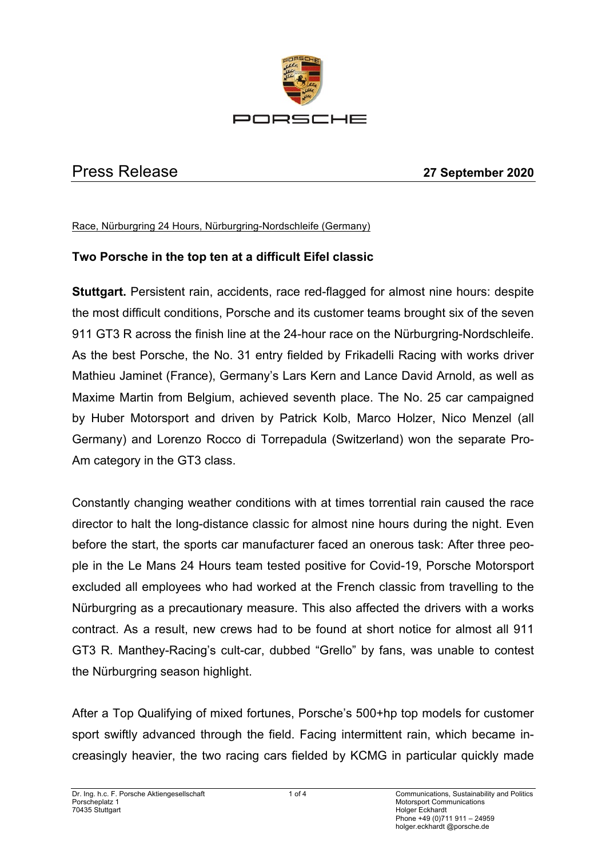

# Press Release **27 September 2020**

Race, Nürburgring 24 Hours, Nürburgring-Nordschleife (Germany)

## **Two Porsche in the top ten at a difficult Eifel classic**

**Stuttgart.** Persistent rain, accidents, race red-flagged for almost nine hours: despite the most difficult conditions, Porsche and its customer teams brought six of the seven 911 GT3 R across the finish line at the 24-hour race on the Nürburgring-Nordschleife. As the best Porsche, the No. 31 entry fielded by Frikadelli Racing with works driver Mathieu Jaminet (France), Germany's Lars Kern and Lance David Arnold, as well as Maxime Martin from Belgium, achieved seventh place. The No. 25 car campaigned by Huber Motorsport and driven by Patrick Kolb, Marco Holzer, Nico Menzel (all Germany) and Lorenzo Rocco di Torrepadula (Switzerland) won the separate Pro-Am category in the GT3 class.

Constantly changing weather conditions with at times torrential rain caused the race director to halt the long-distance classic for almost nine hours during the night. Even before the start, the sports car manufacturer faced an onerous task: After three people in the Le Mans 24 Hours team tested positive for Covid-19, Porsche Motorsport excluded all employees who had worked at the French classic from travelling to the Nürburgring as a precautionary measure. This also affected the drivers with a works contract. As a result, new crews had to be found at short notice for almost all 911 GT3 R. Manthey-Racing's cult-car, dubbed "Grello" by fans, was unable to contest the Nürburgring season highlight.

After a Top Qualifying of mixed fortunes, Porsche's 500+hp top models for customer sport swiftly advanced through the field. Facing intermittent rain, which became increasingly heavier, the two racing cars fielded by KCMG in particular quickly made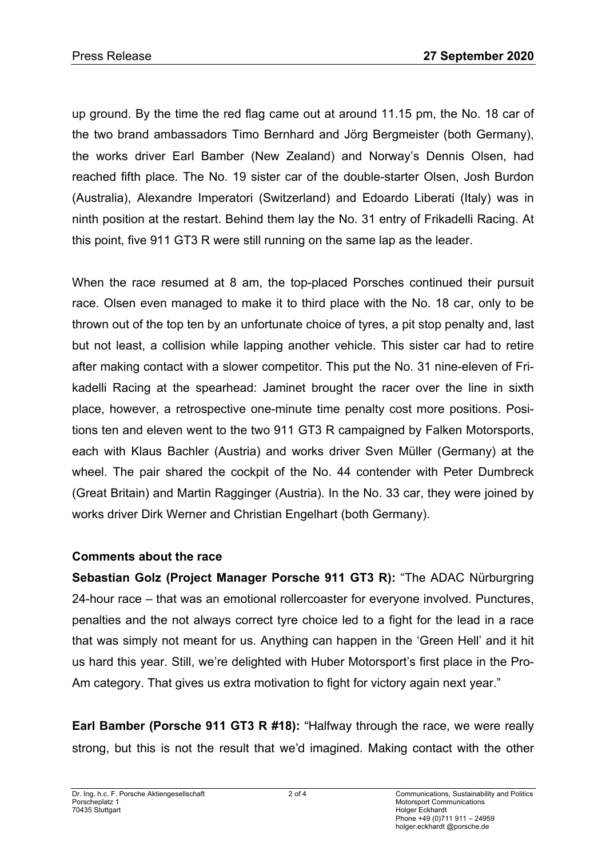up ground. By the time the red flag came out at around 11.15 pm, the No. 18 car of the two brand ambassadors Timo Bernhard and Jörg Bergmeister (both Germany), the works driver Earl Bamber (New Zealand) and Norway's Dennis Olsen, had reached fifth place. The No. 19 sister car of the double-starter Olsen, Josh Burdon (Australia), Alexandre Imperatori (Switzerland) and Edoardo Liberati (Italy) was in ninth position at the restart. Behind them lay the No. 31 entry of Frikadelli Racing. At this point, five 911 GT3 R were still running on the same lap as the leader.

When the race resumed at 8 am, the top-placed Porsches continued their pursuit race. Olsen even managed to make it to third place with the No. 18 car, only to be thrown out of the top ten by an unfortunate choice of tyres, a pit stop penalty and, last but not least, a collision while lapping another vehicle. This sister car had to retire after making contact with a slower competitor. This put the No. 31 nine-eleven of Frikadelli Racing at the spearhead: Jaminet brought the racer over the line in sixth place, however, a retrospective one-minute time penalty cost more positions. Positions ten and eleven went to the two 911 GT3 R campaigned by Falken Motorsports, each with Klaus Bachler (Austria) and works driver Sven Müller (Germany) at the wheel. The pair shared the cockpit of the No. 44 contender with Peter Dumbreck (Great Britain) and Martin Ragginger (Austria). In the No. 33 car, they were joined by works driver Dirk Werner and Christian Engelhart (both Germany).

## **Comments about the race**

**Sebastian Golz (Project Manager Porsche 911 GT3 R):** "The ADAC Nürburgring 24-hour race – that was an emotional rollercoaster for everyone involved. Punctures, penalties and the not always correct tyre choice led to a fight for the lead in a race that was simply not meant for us. Anything can happen in the 'Green Hell' and it hit us hard this year. Still, we're delighted with Huber Motorsport's first place in the Pro-Am category. That gives us extra motivation to fight for victory again next year."

**Earl Bamber (Porsche 911 GT3 R #18):** "Halfway through the race, we were really strong, but this is not the result that we'd imagined. Making contact with the other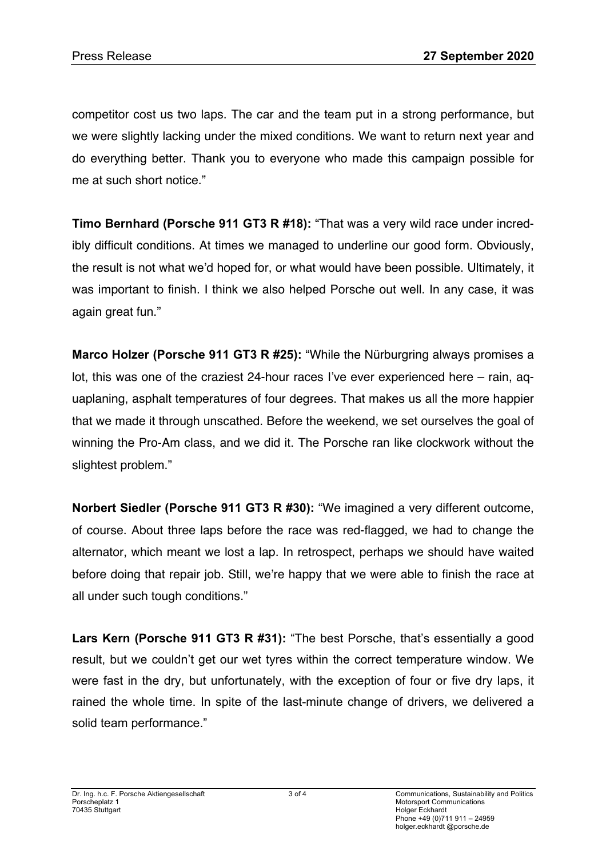competitor cost us two laps. The car and the team put in a strong performance, but we were slightly lacking under the mixed conditions. We want to return next year and do everything better. Thank you to everyone who made this campaign possible for me at such short notice."

**Timo Bernhard (Porsche 911 GT3 R #18):** "That was a very wild race under incredibly difficult conditions. At times we managed to underline our good form. Obviously, the result is not what we'd hoped for, or what would have been possible. Ultimately, it was important to finish. I think we also helped Porsche out well. In any case, it was again great fun."

**Marco Holzer (Porsche 911 GT3 R #25):** "While the Nürburgring always promises a lot, this was one of the craziest 24-hour races I've ever experienced here – rain, aquaplaning, asphalt temperatures of four degrees. That makes us all the more happier that we made it through unscathed. Before the weekend, we set ourselves the goal of winning the Pro-Am class, and we did it. The Porsche ran like clockwork without the slightest problem."

**Norbert Siedler (Porsche 911 GT3 R #30):** "We imagined a very different outcome, of course. About three laps before the race was red-flagged, we had to change the alternator, which meant we lost a lap. In retrospect, perhaps we should have waited before doing that repair job. Still, we're happy that we were able to finish the race at all under such tough conditions."

**Lars Kern (Porsche 911 GT3 R #31):** "The best Porsche, that's essentially a good result, but we couldn't get our wet tyres within the correct temperature window. We were fast in the dry, but unfortunately, with the exception of four or five dry laps, it rained the whole time. In spite of the last-minute change of drivers, we delivered a solid team performance."